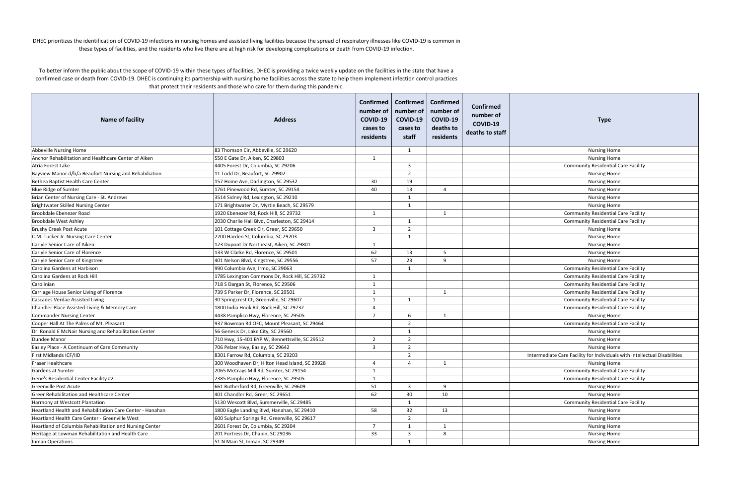| <b>Name of facility</b>                                   | <b>Address</b>                                 | number of<br>COVID-19<br>cases to<br>residents | Confirmed   Confirmed   Confirmed<br>number of<br>COVID-19<br>cases to<br>staff | number of<br>COVID-19<br>deaths to<br>residents | Confirmed<br>number of<br>COVID-19<br>deaths to staff | <b>Type</b>                                                               |
|-----------------------------------------------------------|------------------------------------------------|------------------------------------------------|---------------------------------------------------------------------------------|-------------------------------------------------|-------------------------------------------------------|---------------------------------------------------------------------------|
| Abbeville Nursing Home                                    | 83 Thomson Cir, Abbeville, SC 29620            |                                                | 1                                                                               |                                                 |                                                       | <b>Nursing Home</b>                                                       |
| Anchor Rehabilitation and Healthcare Center of Aiken      | 550 E Gate Dr, Aiken, SC 29803                 | 1                                              |                                                                                 |                                                 |                                                       | <b>Nursing Home</b>                                                       |
| Atria Forest Lake                                         | 4405 Forest Dr, Columbia, SC 29206             |                                                | $\overline{\mathbf{3}}$                                                         |                                                 |                                                       | <b>Community Residential Care Facility</b>                                |
| Bayview Manor d/b/a Beaufort Nursing and Rehabiliation    | 11 Todd Dr, Beaufort, SC 29902                 |                                                | $\overline{2}$                                                                  |                                                 |                                                       | <b>Nursing Home</b>                                                       |
| Bethea Baptist Health Care Center                         | 157 Home Ave, Darlington, SC 29532             | 30                                             | 19                                                                              |                                                 |                                                       | <b>Nursing Home</b>                                                       |
| <b>Blue Ridge of Sumter</b>                               | 1761 Pinewood Rd, Sumter, SC 29154             | 40                                             | 13                                                                              | $\overline{4}$                                  |                                                       | <b>Nursing Home</b>                                                       |
| Brian Center of Nursing Care - St. Andrews                | 3514 Sidney Rd, Lexington, SC 29210            |                                                | 1                                                                               |                                                 |                                                       | <b>Nursing Home</b>                                                       |
| Brightwater Skilled Nursing Center                        | 171 Brightwater Dr, Myrtle Beach, SC 29579     |                                                | 1                                                                               |                                                 |                                                       | <b>Nursing Home</b>                                                       |
| Brookdale Ebenezer Road                                   | 1920 Ebenezer Rd, Rock Hill, SC 29732          | 1                                              |                                                                                 | 1                                               |                                                       | <b>Community Residential Care Facility</b>                                |
| <b>Brookdale West Ashley</b>                              | 2030 Charlie Hall Blvd, Charleston, SC 29414   |                                                | 1                                                                               |                                                 |                                                       | <b>Community Residential Care Facility</b>                                |
| <b>Brushy Creek Post Acute</b>                            | 101 Cottage Creek Cir, Greer, SC 29650         | $\overline{\mathbf{3}}$                        | $\overline{2}$                                                                  |                                                 |                                                       | <b>Nursing Home</b>                                                       |
| C.M. Tucker Jr. Nursing Care Center                       | 2200 Harden St, Columbia, SC 29203             |                                                | 1                                                                               |                                                 |                                                       | <b>Nursing Home</b>                                                       |
| Carlyle Senior Care of Aiken                              | 123 Dupont Dr Northeast, Aiken, SC 29801       | -1                                             |                                                                                 |                                                 |                                                       | <b>Nursing Home</b>                                                       |
| Carlyle Senior Care of Florence                           | 133 W Clarke Rd, Florence, SC 29501            | 62                                             | 13                                                                              | -5                                              |                                                       | <b>Nursing Home</b>                                                       |
| Carlyle Senior Care of Kingstree                          | 401 Nelson Blvd, Kingstree, SC 29556           | 57                                             | 23                                                                              | $\mathsf{q}$                                    |                                                       | <b>Nursing Home</b>                                                       |
| Carolina Gardens at Harbison                              | 990 Columbia Ave, Irmo, SC 29063               |                                                | 1                                                                               |                                                 |                                                       | <b>Community Residential Care Facility</b>                                |
| Carolina Gardens at Rock Hill                             | 1785 Lexington Commons Dr, Rock Hill, SC 29732 | 1                                              |                                                                                 |                                                 |                                                       | <b>Community Residential Care Facility</b>                                |
| Carolinian                                                | 718 S Dargan St, Florence, SC 29506            | 1                                              |                                                                                 |                                                 |                                                       | <b>Community Residential Care Facility</b>                                |
| Carriage House Senior Living of Florence                  | 739 S Parker Dr, Florence, SC 29501            | -1                                             |                                                                                 | -1                                              |                                                       | <b>Community Residential Care Facility</b>                                |
| Cascades Verdae Assisted Living                           | 30 Springcrest Ct, Greenville, SC 29607        | 1                                              | 1                                                                               |                                                 |                                                       | <b>Community Residential Care Facility</b>                                |
| Chandler Place Assisted Living & Memory Care              | 1800 India Hook Rd, Rock Hill, SC 29732        | $\overline{4}$                                 |                                                                                 |                                                 |                                                       | <b>Community Residential Care Facility</b>                                |
| <b>Commander Nursing Center</b>                           | 4438 Pamplico Hwy, Florence, SC 29505          | $\overline{7}$                                 | 6                                                                               | $\overline{1}$                                  |                                                       | <b>Nursing Home</b>                                                       |
| Cooper Hall At The Palms of Mt. Pleasant                  | 937 Bowman Rd OFC, Mount Pleasant, SC 29464    |                                                | $\overline{2}$                                                                  |                                                 |                                                       | <b>Community Residential Care Facility</b>                                |
| Dr. Ronald E McNair Nursing and Rehabilitation Center     | 56 Genesis Dr, Lake City, SC 29560             |                                                | $\overline{1}$                                                                  |                                                 |                                                       | <b>Nursing Home</b>                                                       |
| Dundee Manor                                              | 710 Hwy, 15-401 BYP W, Bennettsville, SC 29512 | $\overline{2}$                                 | $\overline{2}$                                                                  |                                                 |                                                       | <b>Nursing Home</b>                                                       |
| Easley Place - A Continuum of Care Community              | 706 Pelzer Hwy, Easley, SC 29642               | $\overline{3}$                                 | $\overline{2}$                                                                  |                                                 |                                                       | <b>Nursing Home</b>                                                       |
| First Midlands ICF/IID                                    | 8301 Farrow Rd, Columbia, SC 29203             |                                                | $\overline{2}$                                                                  |                                                 |                                                       | Intermediate Care Facility for Individuals with Intellectual Disabilities |
| Fraser Healthcare                                         | 300 Woodhaven Dr, Hilton Head Island, SC 29928 | $\overline{4}$                                 | $\overline{4}$                                                                  | -1                                              |                                                       | <b>Nursing Home</b>                                                       |
| Gardens at Sumter                                         | 2065 McCrays Mill Rd, Sumter, SC 29154         | 1                                              |                                                                                 |                                                 |                                                       | <b>Community Residential Care Facility</b>                                |
| Gene's Residential Center Facility #2                     | 2385 Pamplico Hwy, Florence, SC 29505          | $\mathbf{1}$                                   |                                                                                 |                                                 |                                                       | <b>Community Residential Care Facility</b>                                |
| Greenville Post Acute                                     | 661 Rutherford Rd, Greenville, SC 29609        | 51                                             | $\overline{\mathbf{3}}$                                                         | 9                                               |                                                       | <b>Nursing Home</b>                                                       |
| Greer Rehabilitation and Healthcare Center                | 401 Chandler Rd, Greer, SC 29651               | 62                                             | 30                                                                              | 10                                              |                                                       | <b>Nursing Home</b>                                                       |
| Harmony at Westcott Plantation                            | 5130 Wescott Blvd, Summerville, SC 29485       |                                                | 1                                                                               |                                                 |                                                       | <b>Community Residential Care Facility</b>                                |
| Heartland Health and Rehabilitation Care Center - Hanahan | 1800 Eagle Landing Blvd, Hanahan, SC 29410     | 58                                             | 32                                                                              | 13                                              |                                                       | <b>Nursing Home</b>                                                       |
| Heartland Health Care Center - Greenville West            | 600 Sulphur Springs Rd, Greenville, SC 29617   |                                                | 2                                                                               |                                                 |                                                       | <b>Nursing Home</b>                                                       |
| Heartland of Columbia Rehabilitation and Nursing Center   | 2601 Forest Dr, Columbia, SC 29204             | $\overline{7}$                                 | 1                                                                               |                                                 |                                                       | <b>Nursing Home</b>                                                       |
| Heritage at Lowman Rehabilitation and Health Care         | 201 Fortress Dr, Chapin, SC 29036              | 33                                             | $\overline{3}$                                                                  | 8                                               |                                                       | <b>Nursing Home</b>                                                       |
| Inman Operations                                          | 51 N Main St, Inman, SC 29349                  |                                                | 1                                                                               |                                                 |                                                       | <b>Nursing Home</b>                                                       |

DHEC prioritizes the identification of COVID‐19 infections in nursing homes and assisted living facilities because the spread of respiratory illnesses like COVID‐19 is common in these types of facilities, and the residents who live there are at high risk for developing complications or death from COVID‐19 infection.

To better inform the public about the scope of COVID‐19 within these types of facilities, DHEC is providing <sup>a</sup> twice weekly update on the facilities in the state that have <sup>a</sup> confirmed case or death from COVID‐19. DHEC is continuing its partnership with nursing home facilities across the state to help them implement infection control practices that protect their residents and those who care for them during this pandemic.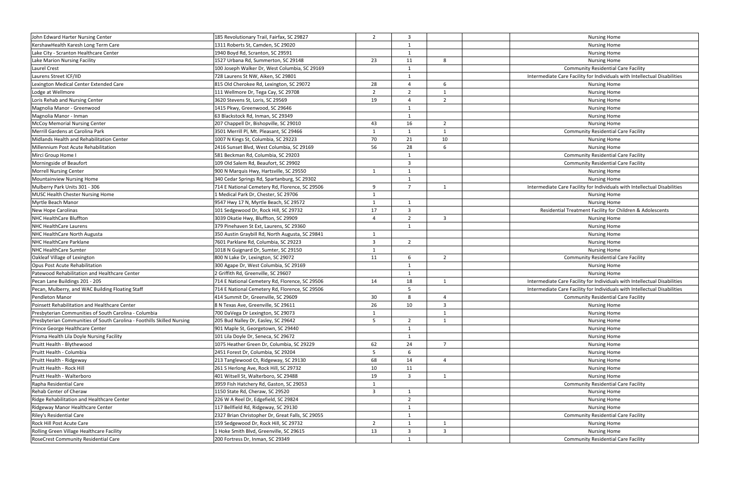| John Edward Harter Nursing Center                                      | 185 Revolutionary Trail, Fairfax, SC 29827                                       | $\overline{2}$          | 3                                       |                         | <b>Nursing Home</b>                                                       |
|------------------------------------------------------------------------|----------------------------------------------------------------------------------|-------------------------|-----------------------------------------|-------------------------|---------------------------------------------------------------------------|
| KershawHealth Karesh Long Term Care                                    | 1311 Roberts St, Camden, SC 29020                                                |                         | - 1                                     |                         | <b>Nursing Home</b>                                                       |
| Lake City - Scranton Healthcare Center                                 | 1940 Boyd Rd, Scranton, SC 29591                                                 |                         | 1                                       |                         | <b>Nursing Home</b>                                                       |
| Lake Marion Nursing Facility                                           | 1527 Urbana Rd, Summerton, SC 29148                                              | 23                      | 11                                      | 8                       | <b>Nursing Home</b>                                                       |
| Laurel Crest                                                           | 100 Joseph Walker Dr, West Columbia, SC 29169                                    |                         | -1                                      |                         | <b>Community Residential Care Facility</b>                                |
| Laurens Street ICF/IID                                                 | 728 Laurens St NW, Aiken, SC 29801                                               |                         | 1                                       |                         | Intermediate Care Facility for Individuals with Intellectual Disabilities |
| Lexington Medical Center Extended Care                                 | 815 Old Cherokee Rd, Lexington, SC 29072                                         | 28                      | $\Delta$                                | 6                       | <b>Nursing Home</b>                                                       |
| Lodge at Wellmore                                                      | 111 Wellmore Dr, Tega Cay, SC 29708                                              | $\overline{2}$          | $\overline{2}$                          | $\mathbf{1}$            | <b>Nursing Home</b>                                                       |
| Loris Rehab and Nursing Center                                         | 3620 Stevens St, Loris, SC 29569                                                 | 19                      | $\overline{4}$                          | $\overline{2}$          | <b>Nursing Home</b>                                                       |
| Magnolia Manor - Greenwood                                             | 1415 Pkwy, Greenwood, SC 29646                                                   |                         | $\mathbf{1}$                            |                         | <b>Nursing Home</b>                                                       |
| Magnolia Manor - Inman                                                 | 63 Blackstock Rd, Inman, SC 29349                                                |                         | -1                                      |                         | <b>Nursing Home</b>                                                       |
| <b>McCoy Memorial Nursing Center</b>                                   | 207 Chappell Dr, Bishopville, SC 29010                                           | 43                      | 16                                      | $\overline{2}$          | <b>Nursing Home</b>                                                       |
| Merrill Gardens at Carolina Park                                       | 3501 Merrill Pl, Mt. Pleasant, SC 29466                                          | $\overline{1}$          | 1                                       | 1                       | <b>Community Residential Care Facility</b>                                |
| Midlands Health and Rehabilitation Center                              | 1007 N Kings St, Columbia, SC 29223                                              | 70                      | 21                                      | 10                      | <b>Nursing Home</b>                                                       |
| Millennium Post Acute Rehabilitation                                   | 2416 Sunset Blvd, West Columbia, SC 29169                                        | 56                      | 28                                      | 6                       | <b>Nursing Home</b>                                                       |
| Mirci Group Home I                                                     | 581 Beckman Rd, Columbia, SC 29203                                               |                         |                                         |                         | <b>Community Residential Care Facility</b>                                |
| Morningside of Beaufort                                                | 109 Old Salem Rd, Beaufort, SC 29902                                             |                         | $\overline{\mathbf{3}}$                 |                         | <b>Community Residential Care Facility</b>                                |
| <b>Morrell Nursing Center</b>                                          | 900 N Marquis Hwy, Hartsville, SC 29550                                          | -1                      | 1                                       |                         | <b>Nursing Home</b>                                                       |
| Mountainview Nursing Home                                              | 340 Cedar Springs Rd, Spartanburg, SC 29302                                      |                         | $\mathbf{1}$                            |                         | <b>Nursing Home</b>                                                       |
| Mulberry Park Units 301 - 306                                          | 714 E National Cemetery Rd, Florence, SC 29506                                   | 9                       | $\overline{7}$                          | 1                       | Intermediate Care Facility for Individuals with Intellectual Disabilities |
| <b>MUSC Health Chester Nursing Home</b>                                | L Medical Park Dr, Chester, SC 29706                                             | -1                      |                                         |                         | <b>Nursing Home</b>                                                       |
| Myrtle Beach Manor                                                     | 9547 Hwy 17 N, Myrtle Beach, SC 29572                                            | $\mathbf{1}$            | $\mathbf{1}$                            |                         | <b>Nursing Home</b>                                                       |
| New Hope Carolinas                                                     | 101 Sedgewood Dr, Rock Hill, SC 29732                                            | 17                      | $\overline{3}$                          |                         | Residential Treatment Facility for Children & Adolescents                 |
| NHC HealthCare Bluffton                                                | 3039 Okatie Hwy, Bluffton, SC 29909                                              | $\overline{4}$          | $\overline{2}$                          | $\overline{\mathbf{3}}$ | <b>Nursing Home</b>                                                       |
| NHC HealthCare Laurens                                                 | 379 Pinehaven St Ext, Laurens, SC 29360                                          |                         | $\mathbf{1}$                            |                         | <b>Nursing Home</b>                                                       |
| NHC HealthCare North Augusta                                           | 350 Austin Graybill Rd, North Augusta, SC 29841                                  | -1                      |                                         |                         | <b>Nursing Home</b>                                                       |
| NHC HealthCare Parklane                                                | 7601 Parklane Rd, Columbia, SC 29223                                             | 3                       | $\overline{2}$                          |                         | <b>Nursing Home</b>                                                       |
| <b>NHC HealthCare Sumter</b>                                           | 1018 N Guignard Dr, Sumter, SC 29150                                             | 1                       |                                         |                         | <b>Nursing Home</b>                                                       |
| Oakleaf Village of Lexington                                           | 800 N Lake Dr, Lexington, SC 29072                                               | 11                      | 6                                       | $\overline{2}$          | <b>Community Residential Care Facility</b>                                |
| Opus Post Acute Rehabilitation                                         | 300 Agape Dr, West Columbia, SC 29169                                            |                         | -1                                      |                         | <b>Nursing Home</b>                                                       |
| Patewood Rehabilitation and Healthcare Center                          | 2 Griffith Rd, Greenville, SC 29607                                              |                         | 1                                       |                         | <b>Nursing Home</b>                                                       |
| Pecan Lane Buildings 201 - 205                                         | 714 E National Cemetery Rd, Florence, SC 29506                                   | 14                      | 18                                      | $\overline{1}$          | Intermediate Care Facility for Individuals with Intellectual Disabilities |
| Pecan, Mulberry, and WAC Building Floating Staff                       | 714 E National Cemetery Rd, Florence, SC 29506                                   |                         | 5                                       |                         | Intermediate Care Facility for Individuals with Intellectual Disabilities |
| Pendleton Manor                                                        | 414 Summit Dr, Greenville, SC 29609                                              | 30                      | 8                                       | $\overline{4}$          | <b>Community Residential Care Facility</b>                                |
| Poinsett Rehabilitation and Healthcare Center                          | 8 N Texas Ave, Greenville, SC 29611                                              | 26                      | 10                                      | $\overline{3}$          | <b>Nursing Home</b>                                                       |
| Presbyterian Communities of South Carolina - Columbia                  | 700 DaVega Dr Lexington, SC 29073                                                | -1                      |                                         | $\mathbf{1}$            | <b>Nursing Home</b>                                                       |
| Presbyterian Communities of South Carolina - Foothills Skilled Nursing | 205 Bud Nalley Dr, Easley, SC 29642                                              | 5                       | $\overline{2}$                          | 1                       | <b>Nursing Home</b>                                                       |
| Prince George Healthcare Center                                        | 901 Maple St, Georgetown, SC 29440                                               |                         | $\mathbf{1}$                            |                         | <b>Nursing Home</b>                                                       |
| Prisma Health Lila Doyle Nursing Facility                              | 101 Lila Doyle Dr, Seneca, SC 29672                                              |                         | $\mathbf{1}$                            |                         | <b>Nursing Home</b>                                                       |
| Pruitt Health - Blythewood                                             | 1075 Heather Green Dr, Columbia, SC 29229                                        | 62                      | 24                                      | $\overline{7}$          | <b>Nursing Home</b>                                                       |
| Pruitt Health - Columbia                                               | 2451 Forest Dr, Columbia, SC 29204                                               | 5                       | 6                                       |                         | <b>Nursing Home</b>                                                       |
| Pruitt Health - Ridgeway                                               | 213 Tanglewood Ct, Ridgeway, SC 29130                                            | 68                      | 14                                      | $\overline{4}$          | <b>Nursing Home</b>                                                       |
| Pruitt Health - Rock Hill                                              | 261 S Herlong Ave, Rock Hill, SC 29732                                           | 10                      | 11                                      |                         | Nursing Home                                                              |
| Pruitt Health - Walterboro                                             | 401 Witsell St, Walterboro, SC 29488                                             | 19                      | -3                                      | 1                       | <b>Nursing Home</b>                                                       |
| Rapha Residential Care                                                 | 3959 Fish Hatchery Rd, Gaston, SC 29053                                          | 1                       |                                         |                         | <b>Community Residential Care Facility</b>                                |
| Rehab Center of Cheraw                                                 | 1150 State Rd, Cheraw, SC 29520                                                  | $\overline{\mathbf{3}}$ | 1                                       |                         | Nursing Home                                                              |
| Ridge Rehabilitation and Healthcare Center                             | 226 W A Reel Dr, Edgefield, SC 29824                                             |                         | $\overline{2}$                          |                         | <b>Nursing Home</b>                                                       |
| Ridgeway Manor Healthcare Center                                       | 117 Bellfield Rd, Ridgeway, SC 29130                                             |                         | 1                                       |                         | <b>Nursing Home</b>                                                       |
|                                                                        | 2327 Brian Christopher Dr, Great Falls, SC 29055                                 |                         |                                         |                         | <b>Community Residential Care Facility</b>                                |
| Riley's Residential Care                                               |                                                                                  |                         | $\mathbf{1}$                            | 1                       |                                                                           |
| Rock Hill Post Acute Care<br>Rolling Green Village Healthcare Facility | 159 Sedgewood Dr, Rock Hill, SC 29732<br>1 Hoke Smith Blvd, Greenville, SC 29615 | $\overline{2}$          | $\mathbf{1}$<br>$\overline{\mathbf{3}}$ |                         | <b>Nursing Home</b>                                                       |
|                                                                        |                                                                                  | 13                      |                                         | $\overline{\mathbf{3}}$ | <b>Nursing Home</b>                                                       |
| RoseCrest Community Residential Care                                   | 200 Fortress Dr, Inman, SC 29349                                                 |                         | $\mathbf{1}$                            |                         | <b>Community Residential Care Facility</b>                                |